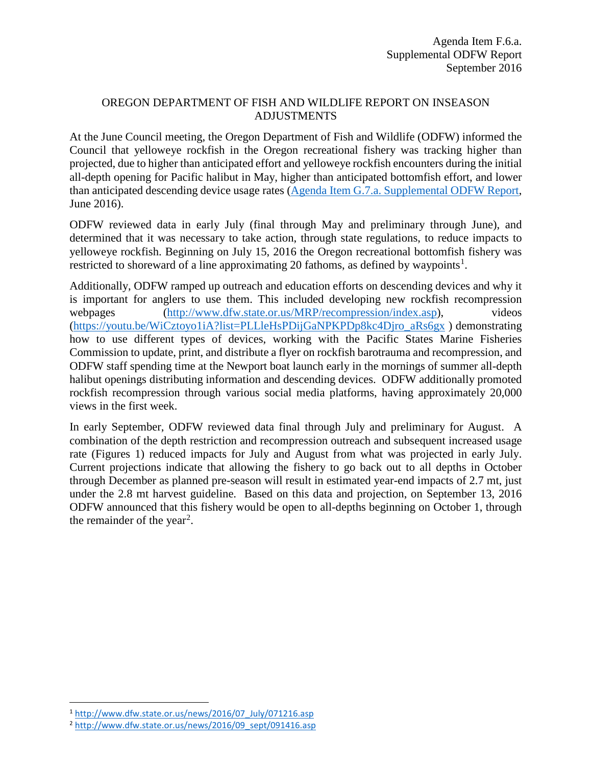## OREGON DEPARTMENT OF FISH AND WILDLIFE REPORT ON INSEASON ADJUSTMENTS

At the June Council meeting, the Oregon Department of Fish and Wildlife (ODFW) informed the Council that yelloweye rockfish in the Oregon recreational fishery was tracking higher than projected, due to higher than anticipated effort and yelloweye rockfish encounters during the initial all-depth opening for Pacific halibut in May, higher than anticipated bottomfish effort, and lower than anticipated descending device usage rates [\(Agenda Item G.7.a. Supplemental ODFW Report,](http://www.pcouncil.org/wp-content/uploads/2016/06/G7a_Sup_ODFW_Rpt_JUN2016BB.pdf) June 2016).

ODFW reviewed data in early July (final through May and preliminary through June), and determined that it was necessary to take action, through state regulations, to reduce impacts to yelloweye rockfish. Beginning on July 15, 2016 the Oregon recreational bottomfish fishery was restricted to shoreward of a line approximating 20 fathoms, as defined by waypoints<sup>[1](#page-0-0)</sup>.

Additionally, ODFW ramped up outreach and education efforts on descending devices and why it is important for anglers to use them. This included developing new rockfish recompression webpages [\(http://www.dfw.state.or.us/MRP/recompression/index.asp\)](http://www.dfw.state.or.us/MRP/recompression/index.asp), videos [\(https://youtu.be/WiCztoyo1iA?list=PLLleHsPDijGaNPKPDp8kc4Djro\\_aRs6gx](https://youtu.be/WiCztoyo1iA?list=PLLleHsPDijGaNPKPDp8kc4Djro_aRs6gx) ) demonstrating how to use different types of devices, working with the Pacific States Marine Fisheries Commission to update, print, and distribute a flyer on rockfish barotrauma and recompression, and ODFW staff spending time at the Newport boat launch early in the mornings of summer all-depth halibut openings distributing information and descending devices. ODFW additionally promoted rockfish recompression through various social media platforms, having approximately 20,000 views in the first week.

In early September, ODFW reviewed data final through July and preliminary for August. A combination of the depth restriction and recompression outreach and subsequent increased usage rate (Figures 1) reduced impacts for July and August from what was projected in early July. Current projections indicate that allowing the fishery to go back out to all depths in October through December as planned pre-season will result in estimated year-end impacts of 2.7 mt, just under the 2.8 mt harvest guideline. Based on this data and projection, on September 13, 2016 ODFW announced that this fishery would be open to all-depths beginning on October 1, through the remainder of the year<sup>[2](#page-0-1)</sup>.

<span id="page-0-0"></span> <sup>1</sup> [http://www.dfw.state.or.us/news/2016/07\\_July/071216.asp](http://www.dfw.state.or.us/news/2016/07_July/071216.asp)

<span id="page-0-1"></span><sup>2</sup> [http://www.dfw.state.or.us/news/2016/09\\_sept/091416.asp](http://www.dfw.state.or.us/news/2016/09_sept/091416.asp)